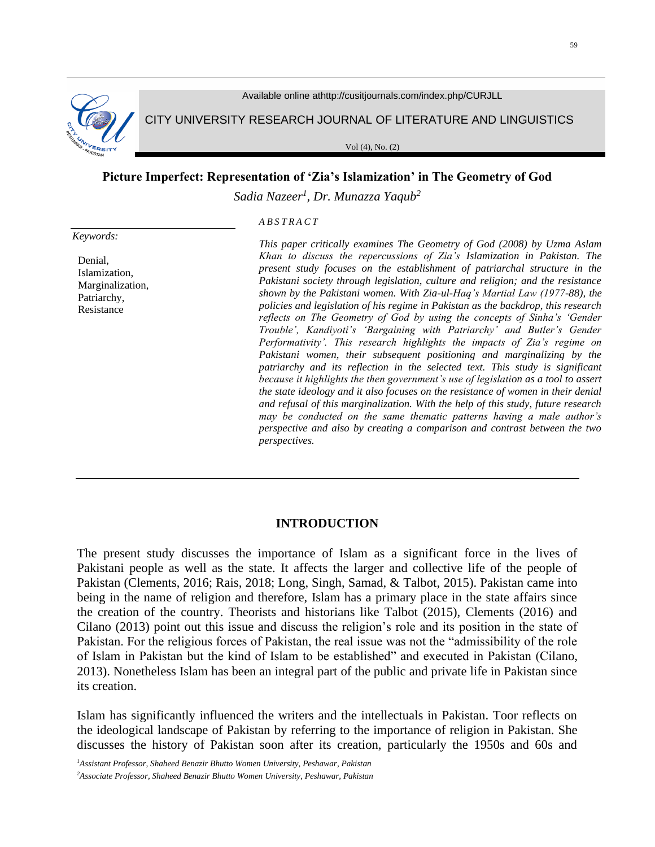

Available online athttp://cusitjournals.com/index.php/CURJLL

CITY UNIVERSITY RESEARCH JOURNAL OF LITERATURE AND LINGUISTICS

Vol (4), No. (2)

### **Picture Imperfect: Representation of 'Zia's Islamization' in The Geometry of God**

*Sadia Nazeer<sup>1</sup> , Dr. Munazza Yaqub<sup>2</sup>*

*A B S T R A C T*

*Keywords:*

Denial, Islamization, Marginalization, Patriarchy, Resistance

*This paper critically examines The Geometry of God (2008) by Uzma Aslam Khan to discuss the repercussions of Zia's Islamization in Pakistan. The present study focuses on the establishment of patriarchal structure in the Pakistani society through legislation, culture and religion; and the resistance shown by the Pakistani women. With Zia-ul-Haq's Martial Law (1977-88), the policies and legislation of his regime in Pakistan as the backdrop, this research reflects on The Geometry of God by using the concepts of Sinha's 'Gender Trouble', Kandiyoti's 'Bargaining with Patriarchy' and Butler's Gender Performativity'. This research highlights the impacts of Zia's regime on Pakistani women, their subsequent positioning and marginalizing by the patriarchy and its reflection in the selected text. This study is significant because it highlights the then government's use of legislation as a tool to assert the state ideology and it also focuses on the resistance of women in their denial and refusal of this marginalization. With the help of this study, future research may be conducted on the same thematic patterns having a male author's perspective and also by creating a comparison and contrast between the two perspectives.* 

### **INTRODUCTION**

The present study discusses the importance of Islam as a significant force in the lives of Pakistani people as well as the state. It affects the larger and collective life of the people of Pakistan (Clements, 2016; Rais, 2018; Long, Singh, Samad, & Talbot, 2015). Pakistan came into being in the name of religion and therefore, Islam has a primary place in the state affairs since the creation of the country. Theorists and historians like Talbot (2015), Clements (2016) and Cilano (2013) point out this issue and discuss the religion's role and its position in the state of Pakistan. For the religious forces of Pakistan, the real issue was not the "admissibility of the role of Islam in Pakistan but the kind of Islam to be established" and executed in Pakistan (Cilano, 2013). Nonetheless Islam has been an integral part of the public and private life in Pakistan since its creation.

Islam has significantly influenced the writers and the intellectuals in Pakistan. Toor reflects on the ideological landscape of Pakistan by referring to the importance of religion in Pakistan. She discusses the history of Pakistan soon after its creation, particularly the 1950s and 60s and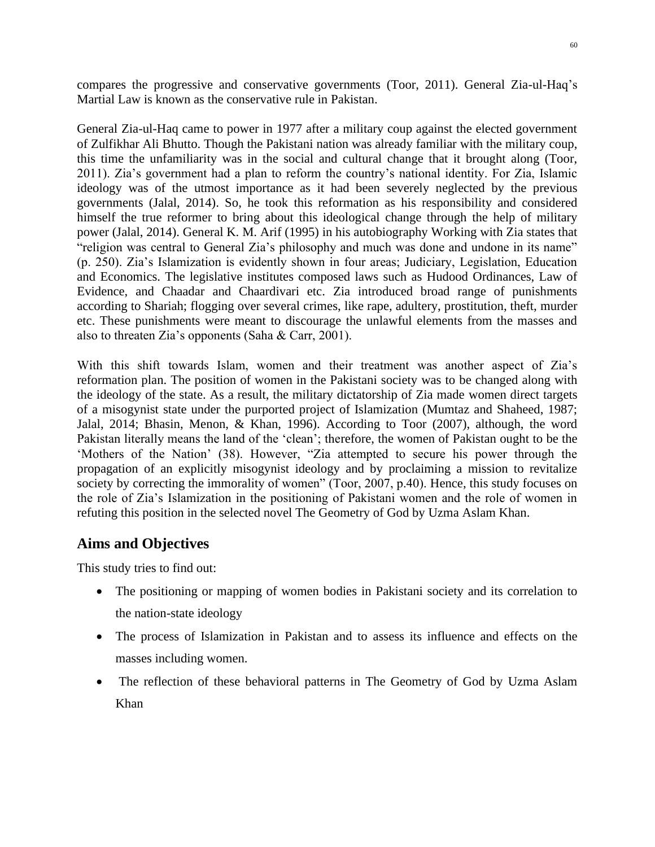compares the progressive and conservative governments (Toor, 2011). General Zia-ul-Haq's Martial Law is known as the conservative rule in Pakistan.

General Zia-ul-Haq came to power in 1977 after a military coup against the elected government of Zulfikhar Ali Bhutto. Though the Pakistani nation was already familiar with the military coup, this time the unfamiliarity was in the social and cultural change that it brought along (Toor, 2011). Zia's government had a plan to reform the country's national identity. For Zia, Islamic ideology was of the utmost importance as it had been severely neglected by the previous governments (Jalal, 2014). So, he took this reformation as his responsibility and considered himself the true reformer to bring about this ideological change through the help of military power (Jalal, 2014). General K. M. Arif (1995) in his autobiography Working with Zia states that "religion was central to General Zia's philosophy and much was done and undone in its name" (p. 250). Zia's Islamization is evidently shown in four areas; Judiciary, Legislation, Education and Economics. The legislative institutes composed laws such as Hudood Ordinances, Law of Evidence, and Chaadar and Chaardivari etc. Zia introduced broad range of punishments according to Shariah; flogging over several crimes, like rape, adultery, prostitution, theft, murder etc. These punishments were meant to discourage the unlawful elements from the masses and also to threaten Zia's opponents (Saha & Carr, 2001).

With this shift towards Islam, women and their treatment was another aspect of Zia's reformation plan. The position of women in the Pakistani society was to be changed along with the ideology of the state. As a result, the military dictatorship of Zia made women direct targets of a misogynist state under the purported project of Islamization (Mumtaz and Shaheed, 1987; Jalal, 2014; Bhasin, Menon, & Khan, 1996). According to Toor (2007), although, the word Pakistan literally means the land of the 'clean'; therefore, the women of Pakistan ought to be the 'Mothers of the Nation' (38). However, "Zia attempted to secure his power through the propagation of an explicitly misogynist ideology and by proclaiming a mission to revitalize society by correcting the immorality of women" (Toor, 2007, p.40). Hence, this study focuses on the role of Zia's Islamization in the positioning of Pakistani women and the role of women in refuting this position in the selected novel The Geometry of God by Uzma Aslam Khan.

# **Aims and Objectives**

This study tries to find out:

- The positioning or mapping of women bodies in Pakistani society and its correlation to the nation-state ideology
- The process of Islamization in Pakistan and to assess its influence and effects on the masses including women.
- The reflection of these behavioral patterns in The Geometry of God by Uzma Aslam Khan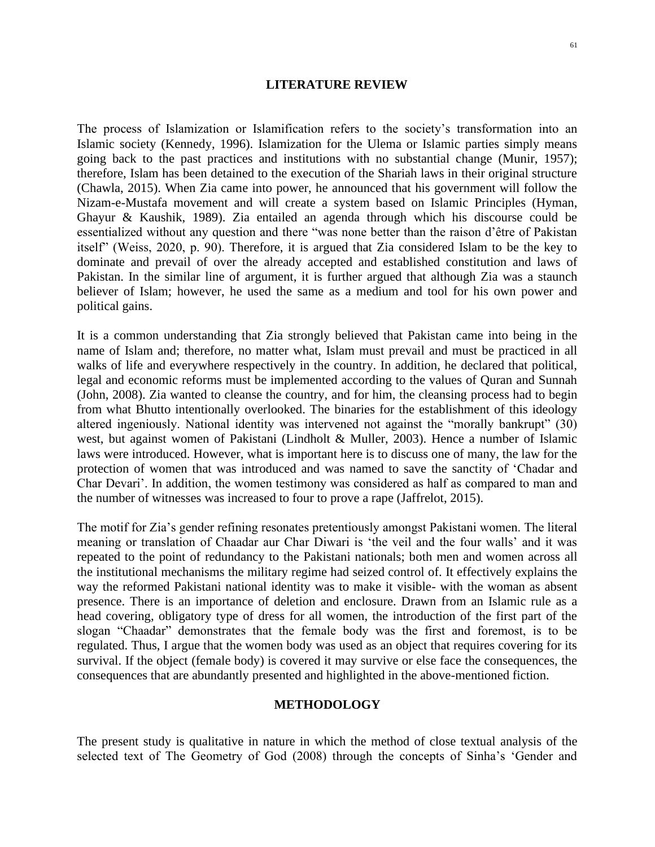### **LITERATURE REVIEW**

The process of Islamization or Islamification refers to the society's transformation into an Islamic society (Kennedy, 1996). Islamization for the Ulema or Islamic parties simply means going back to the past practices and institutions with no substantial change (Munir, 1957); therefore, Islam has been detained to the execution of the Shariah laws in their original structure (Chawla, 2015). When Zia came into power, he announced that his government will follow the Nizam-e-Mustafa movement and will create a system based on Islamic Principles (Hyman, Ghayur & Kaushik, 1989). Zia entailed an agenda through which his discourse could be essentialized without any question and there "was none better than the raison d'être of Pakistan itself" (Weiss, 2020, p. 90). Therefore, it is argued that Zia considered Islam to be the key to dominate and prevail of over the already accepted and established constitution and laws of Pakistan. In the similar line of argument, it is further argued that although Zia was a staunch believer of Islam; however, he used the same as a medium and tool for his own power and political gains.

It is a common understanding that Zia strongly believed that Pakistan came into being in the name of Islam and; therefore, no matter what, Islam must prevail and must be practiced in all walks of life and everywhere respectively in the country. In addition, he declared that political, legal and economic reforms must be implemented according to the values of Quran and Sunnah (John, 2008). Zia wanted to cleanse the country, and for him, the cleansing process had to begin from what Bhutto intentionally overlooked. The binaries for the establishment of this ideology altered ingeniously. National identity was intervened not against the "morally bankrupt" (30) west, but against women of Pakistani (Lindholt & Muller, 2003). Hence a number of Islamic laws were introduced. However, what is important here is to discuss one of many, the law for the protection of women that was introduced and was named to save the sanctity of 'Chadar and Char Devari'. In addition, the women testimony was considered as half as compared to man and the number of witnesses was increased to four to prove a rape (Jaffrelot, 2015).

The motif for Zia's gender refining resonates pretentiously amongst Pakistani women. The literal meaning or translation of Chaadar aur Char Diwari is 'the veil and the four walls' and it was repeated to the point of redundancy to the Pakistani nationals; both men and women across all the institutional mechanisms the military regime had seized control of. It effectively explains the way the reformed Pakistani national identity was to make it visible- with the woman as absent presence. There is an importance of deletion and enclosure. Drawn from an Islamic rule as a head covering, obligatory type of dress for all women, the introduction of the first part of the slogan "Chaadar" demonstrates that the female body was the first and foremost, is to be regulated. Thus, I argue that the women body was used as an object that requires covering for its survival. If the object (female body) is covered it may survive or else face the consequences, the consequences that are abundantly presented and highlighted in the above-mentioned fiction.

### **METHODOLOGY**

The present study is qualitative in nature in which the method of close textual analysis of the selected text of The Geometry of God (2008) through the concepts of Sinha's 'Gender and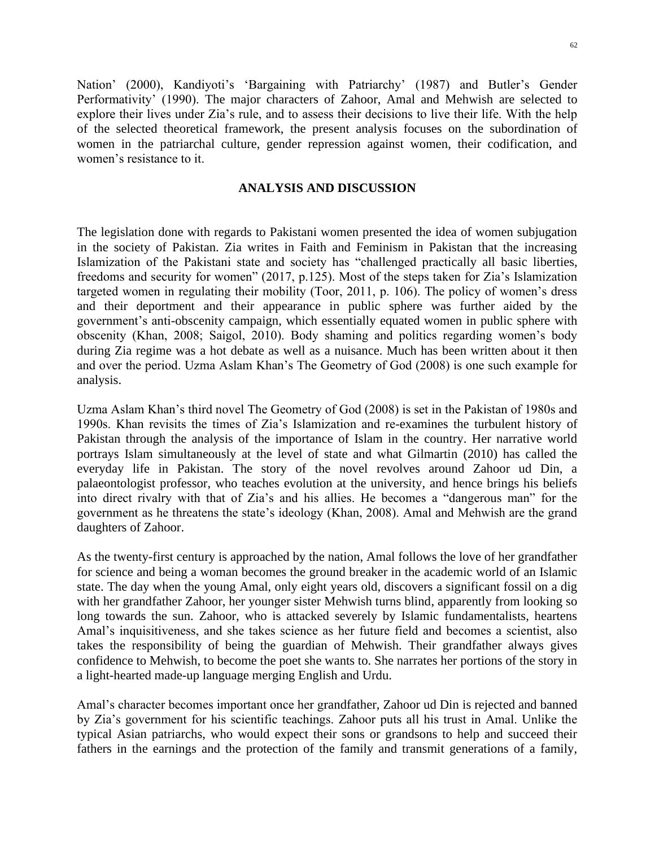Nation' (2000), Kandiyoti's 'Bargaining with Patriarchy' (1987) and Butler's Gender Performativity' (1990). The major characters of Zahoor, Amal and Mehwish are selected to explore their lives under Zia's rule, and to assess their decisions to live their life. With the help of the selected theoretical framework, the present analysis focuses on the subordination of women in the patriarchal culture, gender repression against women, their codification, and women's resistance to it.

## **ANALYSIS AND DISCUSSION**

The legislation done with regards to Pakistani women presented the idea of women subjugation in the society of Pakistan. Zia writes in Faith and Feminism in Pakistan that the increasing Islamization of the Pakistani state and society has "challenged practically all basic liberties, freedoms and security for women" (2017, p.125). Most of the steps taken for Zia's Islamization targeted women in regulating their mobility (Toor, 2011, p. 106). The policy of women's dress and their deportment and their appearance in public sphere was further aided by the government's anti-obscenity campaign, which essentially equated women in public sphere with obscenity (Khan, 2008; Saigol, 2010). Body shaming and politics regarding women's body during Zia regime was a hot debate as well as a nuisance. Much has been written about it then and over the period. Uzma Aslam Khan's The Geometry of God (2008) is one such example for analysis.

Uzma Aslam Khan's third novel The Geometry of God (2008) is set in the Pakistan of 1980s and 1990s. Khan revisits the times of Zia's Islamization and re-examines the turbulent history of Pakistan through the analysis of the importance of Islam in the country. Her narrative world portrays Islam simultaneously at the level of state and what Gilmartin (2010) has called the everyday life in Pakistan. The story of the novel revolves around Zahoor ud Din, a palaeontologist professor, who teaches evolution at the university, and hence brings his beliefs into direct rivalry with that of Zia's and his allies. He becomes a "dangerous man" for the government as he threatens the state's ideology (Khan, 2008). Amal and Mehwish are the grand daughters of Zahoor.

As the twenty-first century is approached by the nation, Amal follows the love of her grandfather for science and being a woman becomes the ground breaker in the academic world of an Islamic state. The day when the young Amal, only eight years old, discovers a significant fossil on a dig with her grandfather Zahoor, her younger sister Mehwish turns blind, apparently from looking so long towards the sun. Zahoor, who is attacked severely by Islamic fundamentalists, heartens Amal's inquisitiveness, and she takes science as her future field and becomes a scientist, also takes the responsibility of being the guardian of Mehwish. Their grandfather always gives confidence to Mehwish, to become the poet she wants to. She narrates her portions of the story in a light-hearted made-up language merging English and Urdu.

Amal's character becomes important once her grandfather, Zahoor ud Din is rejected and banned by Zia's government for his scientific teachings. Zahoor puts all his trust in Amal. Unlike the typical Asian patriarchs, who would expect their sons or grandsons to help and succeed their fathers in the earnings and the protection of the family and transmit generations of a family,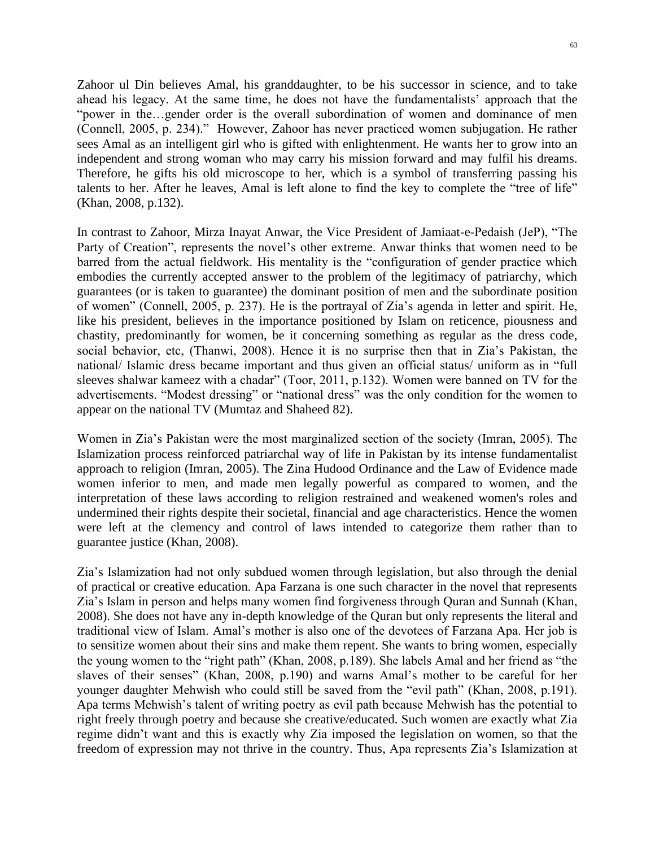Zahoor ul Din believes Amal, his granddaughter, to be his successor in science, and to take ahead his legacy. At the same time, he does not have the fundamentalists' approach that the "power in the…gender order is the overall subordination of women and dominance of men (Connell, 2005, p. 234)." However, Zahoor has never practiced women subjugation. He rather sees Amal as an intelligent girl who is gifted with enlightenment. He wants her to grow into an independent and strong woman who may carry his mission forward and may fulfil his dreams. Therefore, he gifts his old microscope to her, which is a symbol of transferring passing his talents to her. After he leaves, Amal is left alone to find the key to complete the "tree of life" (Khan, 2008, p.132).

In contrast to Zahoor, Mirza Inayat Anwar, the Vice President of Jamiaat-e-Pedaish (JeP), "The Party of Creation", represents the novel's other extreme. Anwar thinks that women need to be barred from the actual fieldwork. His mentality is the "configuration of gender practice which embodies the currently accepted answer to the problem of the legitimacy of patriarchy, which guarantees (or is taken to guarantee) the dominant position of men and the subordinate position of women" (Connell, 2005, p. 237). He is the portrayal of Zia's agenda in letter and spirit. He, like his president, believes in the importance positioned by Islam on reticence, piousness and chastity, predominantly for women, be it concerning something as regular as the dress code, social behavior, etc, (Thanwi, 2008). Hence it is no surprise then that in Zia's Pakistan, the national/ Islamic dress became important and thus given an official status/ uniform as in "full sleeves shalwar kameez with a chadar" (Toor, 2011, p.132). Women were banned on TV for the advertisements. "Modest dressing" or "national dress" was the only condition for the women to appear on the national TV (Mumtaz and Shaheed 82).

Women in Zia's Pakistan were the most marginalized section of the society (Imran, 2005). The Islamization process reinforced patriarchal way of life in Pakistan by its intense fundamentalist approach to religion (Imran, 2005). The Zina Hudood Ordinance and the Law of Evidence made women inferior to men, and made men legally powerful as compared to women, and the interpretation of these laws according to religion restrained and weakened women's roles and undermined their rights despite their societal, financial and age characteristics. Hence the women were left at the clemency and control of laws intended to categorize them rather than to guarantee justice (Khan, 2008).

Zia's Islamization had not only subdued women through legislation, but also through the denial of practical or creative education. Apa Farzana is one such character in the novel that represents Zia's Islam in person and helps many women find forgiveness through Quran and Sunnah (Khan, 2008). She does not have any in-depth knowledge of the Quran but only represents the literal and traditional view of Islam. Amal's mother is also one of the devotees of Farzana Apa. Her job is to sensitize women about their sins and make them repent. She wants to bring women, especially the young women to the "right path" (Khan, 2008, p.189). She labels Amal and her friend as "the slaves of their senses" (Khan, 2008, p.190) and warns Amal's mother to be careful for her younger daughter Mehwish who could still be saved from the "evil path" (Khan, 2008, p.191). Apa terms Mehwish's talent of writing poetry as evil path because Mehwish has the potential to right freely through poetry and because she creative/educated. Such women are exactly what Zia regime didn't want and this is exactly why Zia imposed the legislation on women, so that the freedom of expression may not thrive in the country. Thus, Apa represents Zia's Islamization at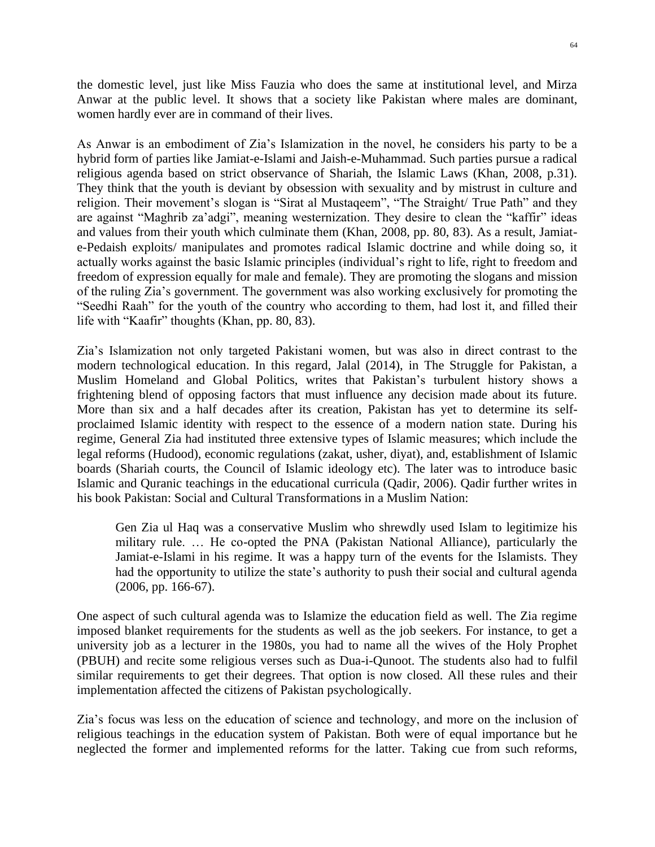the domestic level, just like Miss Fauzia who does the same at institutional level, and Mirza Anwar at the public level. It shows that a society like Pakistan where males are dominant, women hardly ever are in command of their lives.

As Anwar is an embodiment of Zia's Islamization in the novel, he considers his party to be a hybrid form of parties like Jamiat-e-Islami and Jaish-e-Muhammad. Such parties pursue a radical religious agenda based on strict observance of Shariah, the Islamic Laws (Khan, 2008, p.31). They think that the youth is deviant by obsession with sexuality and by mistrust in culture and religion. Their movement's slogan is "Sirat al Mustaqeem", "The Straight/ True Path" and they are against "Maghrib za'adgi", meaning westernization. They desire to clean the "kaffir" ideas and values from their youth which culminate them (Khan, 2008, pp. 80, 83). As a result, Jamiate-Pedaish exploits/ manipulates and promotes radical Islamic doctrine and while doing so, it actually works against the basic Islamic principles (individual's right to life, right to freedom and freedom of expression equally for male and female). They are promoting the slogans and mission of the ruling Zia's government. The government was also working exclusively for promoting the "Seedhi Raah" for the youth of the country who according to them, had lost it, and filled their life with "Kaafir" thoughts (Khan, pp. 80, 83).

Zia's Islamization not only targeted Pakistani women, but was also in direct contrast to the modern technological education. In this regard, Jalal (2014), in The Struggle for Pakistan, a Muslim Homeland and Global Politics, writes that Pakistan's turbulent history shows a frightening blend of opposing factors that must influence any decision made about its future. More than six and a half decades after its creation, Pakistan has yet to determine its selfproclaimed Islamic identity with respect to the essence of a modern nation state. During his regime, General Zia had instituted three extensive types of Islamic measures; which include the legal reforms (Hudood), economic regulations (zakat, usher, diyat), and, establishment of Islamic boards (Shariah courts, the Council of Islamic ideology etc). The later was to introduce basic Islamic and Quranic teachings in the educational curricula (Qadir, 2006). Qadir further writes in his book Pakistan: Social and Cultural Transformations in a Muslim Nation:

Gen Zia ul Haq was a conservative Muslim who shrewdly used Islam to legitimize his military rule. … He co-opted the PNA (Pakistan National Alliance), particularly the Jamiat-e-Islami in his regime. It was a happy turn of the events for the Islamists. They had the opportunity to utilize the state's authority to push their social and cultural agenda (2006, pp. 166-67).

One aspect of such cultural agenda was to Islamize the education field as well. The Zia regime imposed blanket requirements for the students as well as the job seekers. For instance, to get a university job as a lecturer in the 1980s, you had to name all the wives of the Holy Prophet (PBUH) and recite some religious verses such as Dua-i-Qunoot. The students also had to fulfil similar requirements to get their degrees. That option is now closed. All these rules and their implementation affected the citizens of Pakistan psychologically.

Zia's focus was less on the education of science and technology, and more on the inclusion of religious teachings in the education system of Pakistan. Both were of equal importance but he neglected the former and implemented reforms for the latter. Taking cue from such reforms,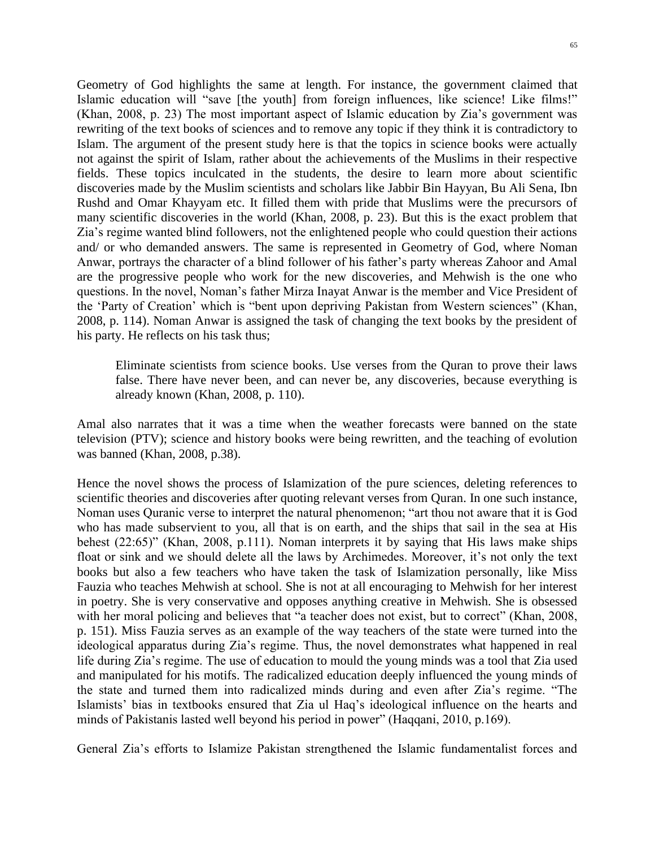Geometry of God highlights the same at length. For instance, the government claimed that Islamic education will "save [the youth] from foreign influences, like science! Like films!" (Khan, 2008, p. 23) The most important aspect of Islamic education by Zia's government was rewriting of the text books of sciences and to remove any topic if they think it is contradictory to Islam. The argument of the present study here is that the topics in science books were actually not against the spirit of Islam, rather about the achievements of the Muslims in their respective fields. These topics inculcated in the students, the desire to learn more about scientific discoveries made by the Muslim scientists and scholars like Jabbir Bin Hayyan, Bu Ali Sena, Ibn Rushd and Omar Khayyam etc. It filled them with pride that Muslims were the precursors of many scientific discoveries in the world (Khan, 2008, p. 23). But this is the exact problem that Zia's regime wanted blind followers, not the enlightened people who could question their actions and/ or who demanded answers. The same is represented in Geometry of God, where Noman Anwar, portrays the character of a blind follower of his father's party whereas Zahoor and Amal are the progressive people who work for the new discoveries, and Mehwish is the one who questions. In the novel, Noman's father Mirza Inayat Anwar is the member and Vice President of the 'Party of Creation' which is "bent upon depriving Pakistan from Western sciences" (Khan, 2008, p. 114). Noman Anwar is assigned the task of changing the text books by the president of his party. He reflects on his task thus;

Eliminate scientists from science books. Use verses from the Quran to prove their laws false. There have never been, and can never be, any discoveries, because everything is already known (Khan, 2008, p. 110).

Amal also narrates that it was a time when the weather forecasts were banned on the state television (PTV); science and history books were being rewritten, and the teaching of evolution was banned (Khan, 2008, p.38).

Hence the novel shows the process of Islamization of the pure sciences, deleting references to scientific theories and discoveries after quoting relevant verses from Quran. In one such instance, Noman uses Quranic verse to interpret the natural phenomenon; "art thou not aware that it is God who has made subservient to you, all that is on earth, and the ships that sail in the sea at His behest (22:65)" (Khan, 2008, p.111). Noman interprets it by saying that His laws make ships float or sink and we should delete all the laws by Archimedes. Moreover, it's not only the text books but also a few teachers who have taken the task of Islamization personally, like Miss Fauzia who teaches Mehwish at school. She is not at all encouraging to Mehwish for her interest in poetry. She is very conservative and opposes anything creative in Mehwish. She is obsessed with her moral policing and believes that "a teacher does not exist, but to correct" (Khan, 2008, p. 151). Miss Fauzia serves as an example of the way teachers of the state were turned into the ideological apparatus during Zia's regime. Thus, the novel demonstrates what happened in real life during Zia's regime. The use of education to mould the young minds was a tool that Zia used and manipulated for his motifs. The radicalized education deeply influenced the young minds of the state and turned them into radicalized minds during and even after Zia's regime. "The Islamists' bias in textbooks ensured that Zia ul Haq's ideological influence on the hearts and minds of Pakistanis lasted well beyond his period in power" (Haqqani, 2010, p.169).

General Zia's efforts to Islamize Pakistan strengthened the Islamic fundamentalist forces and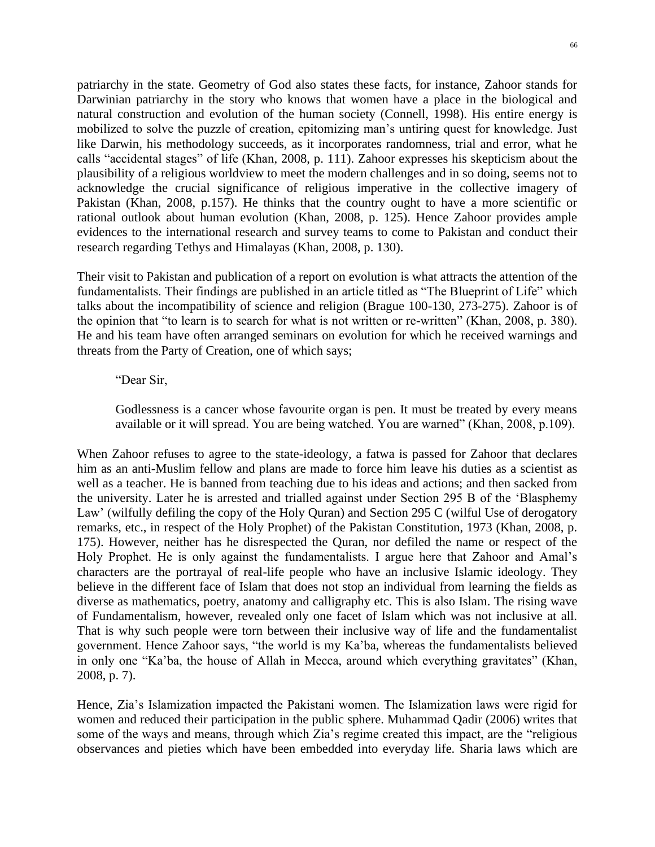patriarchy in the state. Geometry of God also states these facts, for instance, Zahoor stands for Darwinian patriarchy in the story who knows that women have a place in the biological and natural construction and evolution of the human society (Connell, 1998). His entire energy is mobilized to solve the puzzle of creation, epitomizing man's untiring quest for knowledge. Just like Darwin, his methodology succeeds, as it incorporates randomness, trial and error, what he calls "accidental stages" of life (Khan, 2008, p. 111). Zahoor expresses his skepticism about the plausibility of a religious worldview to meet the modern challenges and in so doing, seems not to acknowledge the crucial significance of religious imperative in the collective imagery of Pakistan (Khan, 2008, p.157). He thinks that the country ought to have a more scientific or rational outlook about human evolution (Khan, 2008, p. 125). Hence Zahoor provides ample evidences to the international research and survey teams to come to Pakistan and conduct their research regarding Tethys and Himalayas (Khan, 2008, p. 130).

Their visit to Pakistan and publication of a report on evolution is what attracts the attention of the fundamentalists. Their findings are published in an article titled as "The Blueprint of Life" which talks about the incompatibility of science and religion (Brague 100-130, 273-275). Zahoor is of the opinion that "to learn is to search for what is not written or re-written" (Khan, 2008, p. 380). He and his team have often arranged seminars on evolution for which he received warnings and threats from the Party of Creation, one of which says;

### "Dear Sir,

Godlessness is a cancer whose favourite organ is pen. It must be treated by every means available or it will spread. You are being watched. You are warned" (Khan, 2008, p.109).

When Zahoor refuses to agree to the state-ideology, a fatwa is passed for Zahoor that declares him as an anti-Muslim fellow and plans are made to force him leave his duties as a scientist as well as a teacher. He is banned from teaching due to his ideas and actions; and then sacked from the university. Later he is arrested and trialled against under Section 295 B of the 'Blasphemy Law' (wilfully defiling the copy of the Holy Quran) and Section 295 C (wilful Use of derogatory remarks, etc., in respect of the Holy Prophet) of the Pakistan Constitution, 1973 (Khan, 2008, p. 175). However, neither has he disrespected the Quran, nor defiled the name or respect of the Holy Prophet. He is only against the fundamentalists. I argue here that Zahoor and Amal's characters are the portrayal of real-life people who have an inclusive Islamic ideology. They believe in the different face of Islam that does not stop an individual from learning the fields as diverse as mathematics, poetry, anatomy and calligraphy etc. This is also Islam. The rising wave of Fundamentalism, however, revealed only one facet of Islam which was not inclusive at all. That is why such people were torn between their inclusive way of life and the fundamentalist government. Hence Zahoor says, "the world is my Ka'ba, whereas the fundamentalists believed in only one "Ka'ba, the house of Allah in Mecca, around which everything gravitates" (Khan, 2008, p. 7).

Hence, Zia's Islamization impacted the Pakistani women. The Islamization laws were rigid for women and reduced their participation in the public sphere. Muhammad Qadir (2006) writes that some of the ways and means, through which Zia's regime created this impact, are the "religious observances and pieties which have been embedded into everyday life. Sharia laws which are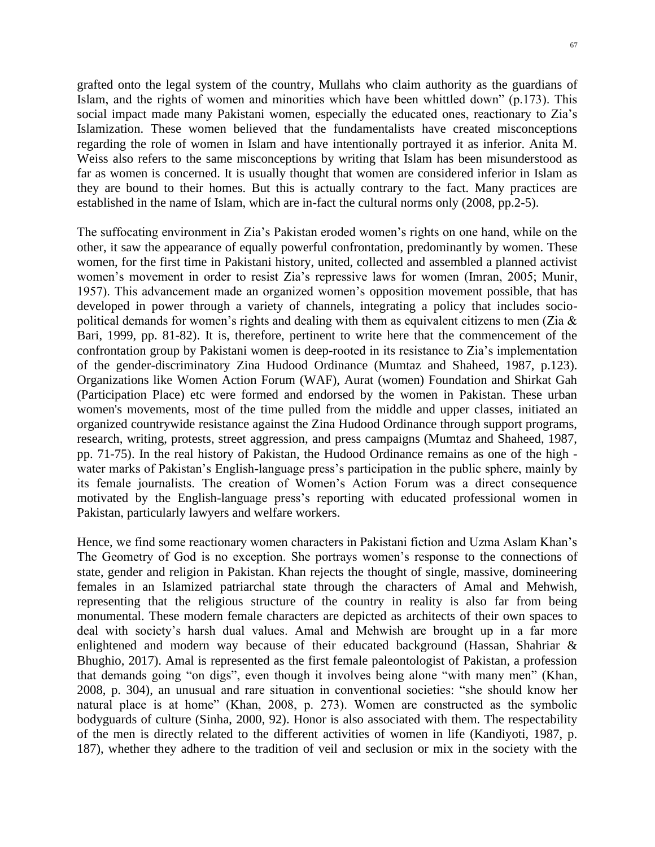grafted onto the legal system of the country, Mullahs who claim authority as the guardians of Islam, and the rights of women and minorities which have been whittled down" (p.173). This social impact made many Pakistani women, especially the educated ones, reactionary to Zia's Islamization. These women believed that the fundamentalists have created misconceptions regarding the role of women in Islam and have intentionally portrayed it as inferior. Anita M. Weiss also refers to the same misconceptions by writing that Islam has been misunderstood as far as women is concerned. It is usually thought that women are considered inferior in Islam as they are bound to their homes. But this is actually contrary to the fact. Many practices are established in the name of Islam, which are in-fact the cultural norms only (2008, pp.2-5).

The suffocating environment in Zia's Pakistan eroded women's rights on one hand, while on the other, it saw the appearance of equally powerful confrontation, predominantly by women. These women, for the first time in Pakistani history, united, collected and assembled a planned activist women's movement in order to resist Zia's repressive laws for women (Imran, 2005; Munir, 1957). This advancement made an organized women's opposition movement possible, that has developed in power through a variety of channels, integrating a policy that includes sociopolitical demands for women's rights and dealing with them as equivalent citizens to men (Zia  $\&$ Bari, 1999, pp. 81-82). It is, therefore, pertinent to write here that the commencement of the confrontation group by Pakistani women is deep-rooted in its resistance to Zia's implementation of the gender-discriminatory Zina Hudood Ordinance (Mumtaz and Shaheed, 1987, p.123). Organizations like Women Action Forum (WAF), Aurat (women) Foundation and Shirkat Gah (Participation Place) etc were formed and endorsed by the women in Pakistan. These urban women's movements, most of the time pulled from the middle and upper classes, initiated an organized countrywide resistance against the Zina Hudood Ordinance through support programs, research, writing, protests, street aggression, and press campaigns (Mumtaz and Shaheed, 1987, pp. 71-75). In the real history of Pakistan, the Hudood Ordinance remains as one of the high water marks of Pakistan's English-language press's participation in the public sphere, mainly by its female journalists. The creation of Women's Action Forum was a direct consequence motivated by the English-language press's reporting with educated professional women in Pakistan, particularly lawyers and welfare workers.

Hence, we find some reactionary women characters in Pakistani fiction and Uzma Aslam Khan's The Geometry of God is no exception. She portrays women's response to the connections of state, gender and religion in Pakistan. Khan rejects the thought of single, massive, domineering females in an Islamized patriarchal state through the characters of Amal and Mehwish, representing that the religious structure of the country in reality is also far from being monumental. These modern female characters are depicted as architects of their own spaces to deal with society's harsh dual values. Amal and Mehwish are brought up in a far more enlightened and modern way because of their educated background (Hassan, Shahriar & Bhughio, 2017). Amal is represented as the first female paleontologist of Pakistan, a profession that demands going "on digs", even though it involves being alone "with many men" (Khan, 2008, p. 304), an unusual and rare situation in conventional societies: "she should know her natural place is at home" (Khan, 2008, p. 273). Women are constructed as the symbolic bodyguards of culture (Sinha, 2000, 92). Honor is also associated with them. The respectability of the men is directly related to the different activities of women in life (Kandiyoti, 1987, p. 187), whether they adhere to the tradition of veil and seclusion or mix in the society with the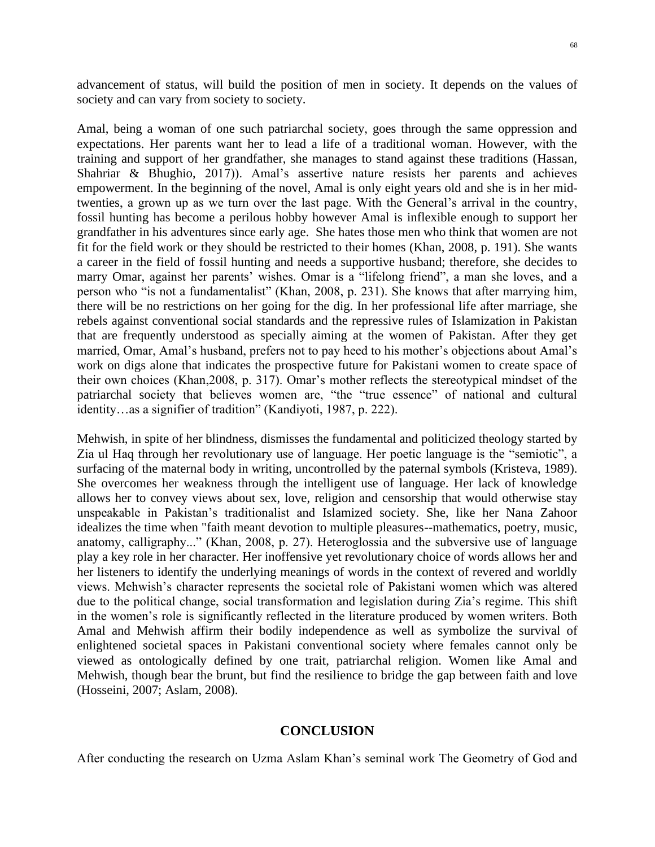advancement of status, will build the position of men in society. It depends on the values of society and can vary from society to society.

Amal, being a woman of one such patriarchal society, goes through the same oppression and expectations. Her parents want her to lead a life of a traditional woman. However, with the training and support of her grandfather, she manages to stand against these traditions (Hassan, Shahriar & Bhughio, 2017)). Amal's assertive nature resists her parents and achieves empowerment. In the beginning of the novel, Amal is only eight years old and she is in her midtwenties, a grown up as we turn over the last page. With the General's arrival in the country, fossil hunting has become a perilous hobby however Amal is inflexible enough to support her grandfather in his adventures since early age. She hates those men who think that women are not fit for the field work or they should be restricted to their homes (Khan, 2008, p. 191). She wants a career in the field of fossil hunting and needs a supportive husband; therefore, she decides to marry Omar, against her parents' wishes. Omar is a "lifelong friend", a man she loves, and a person who "is not a fundamentalist" (Khan, 2008, p. 231). She knows that after marrying him, there will be no restrictions on her going for the dig. In her professional life after marriage, she rebels against conventional social standards and the repressive rules of Islamization in Pakistan that are frequently understood as specially aiming at the women of Pakistan. After they get married, Omar, Amal's husband, prefers not to pay heed to his mother's objections about Amal's work on digs alone that indicates the prospective future for Pakistani women to create space of their own choices (Khan,2008, p. 317). Omar's mother reflects the stereotypical mindset of the patriarchal society that believes women are, "the "true essence" of national and cultural identity…as a signifier of tradition" (Kandiyoti, 1987, p. 222).

Mehwish, in spite of her blindness, dismisses the fundamental and politicized theology started by Zia ul Haq through her revolutionary use of language. Her poetic language is the "semiotic", a surfacing of the maternal body in writing, uncontrolled by the paternal symbols (Kristeva, 1989). She overcomes her weakness through the intelligent use of language. Her lack of knowledge allows her to convey views about sex, love, religion and censorship that would otherwise stay unspeakable in Pakistan's traditionalist and Islamized society. She, like her Nana Zahoor idealizes the time when "faith meant devotion to multiple pleasures--mathematics, poetry, music, anatomy, calligraphy..." (Khan, 2008, p. 27). Heteroglossia and the subversive use of language play a key role in her character. Her inoffensive yet revolutionary choice of words allows her and her listeners to identify the underlying meanings of words in the context of revered and worldly views. Mehwish's character represents the societal role of Pakistani women which was altered due to the political change, social transformation and legislation during Zia's regime. This shift in the women's role is significantly reflected in the literature produced by women writers. Both Amal and Mehwish affirm their bodily independence as well as symbolize the survival of enlightened societal spaces in Pakistani conventional society where females cannot only be viewed as ontologically defined by one trait, patriarchal religion. Women like Amal and Mehwish, though bear the brunt, but find the resilience to bridge the gap between faith and love (Hosseini, 2007; Aslam, 2008).

### **CONCLUSION**

After conducting the research on Uzma Aslam Khan's seminal work The Geometry of God and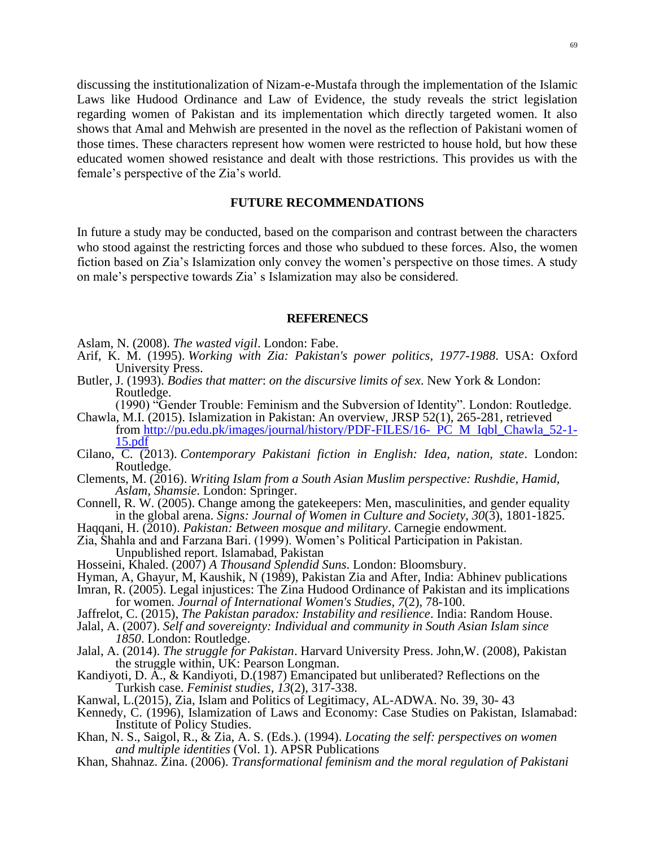69

discussing the institutionalization of Nizam-e-Mustafa through the implementation of the Islamic Laws like Hudood Ordinance and Law of Evidence, the study reveals the strict legislation regarding women of Pakistan and its implementation which directly targeted women. It also shows that Amal and Mehwish are presented in the novel as the reflection of Pakistani women of those times. These characters represent how women were restricted to house hold, but how these educated women showed resistance and dealt with those restrictions. This provides us with the female's perspective of the Zia's world.

### **FUTURE RECOMMENDATIONS**

In future a study may be conducted, based on the comparison and contrast between the characters who stood against the restricting forces and those who subdued to these forces. Also, the women fiction based on Zia's Islamization only convey the women's perspective on those times. A study on male's perspective towards Zia' s Islamization may also be considered.

#### **REFERENECS**

Aslam, N. (2008). *The wasted vigil*. London: Fabe.

- Arif, K. M. (1995). *Working with Zia: Pakistan's power politics, 1977-1988*. USA: Oxford University Press.
- Butler, J. (1993). *Bodies that matter*: *on the discursive limits of sex*. New York & London: Routledge.
- (1990) "Gender Trouble: Feminism and the Subversion of Identity". London: Routledge. Chawla, M.I. (2015). Islamization in Pakistan: An overview, JRSP 52(1), 265-281, retrieved from [http://pu.edu.pk/images/journal/history/PDF-FILES/16-](http://pu.edu.pk/images/journal/history/PDF-FILES/16-%20PC%20M%20Iqbl_Chawla_52-1-15.pdf) PC M Iqbl\_Chawla\_52-1- [15.pdf](http://pu.edu.pk/images/journal/history/PDF-FILES/16-%20PC%20M%20Iqbl_Chawla_52-1-15.pdf)
- Cilano, C. (2013). *Contemporary Pakistani fiction in English: Idea, nation, state*. London: Routledge.
- Clements, M. (2016). *Writing Islam from a South Asian Muslim perspective: Rushdie, Hamid, Aslam, Shamsie*. London: Springer.
- Connell, R. W. (2005). Change among the gatekeepers: Men, masculinities, and gender equality in the global arena. *Signs: Journal of Women in Culture and Society*, *30*(3), 1801-1825.
- Haqqani, H. (2010). *Pakistan: Between mosque and military*. Carnegie endowment.
- Zia, Shahla and and Farzana Bari. (1999). Women's Political Participation in Pakistan. Unpublished report. Islamabad, Pakistan
- Hosseini, Khaled. (2007) *A Thousand Splendid Suns*. London: Bloomsbury.
- Hyman, A, Ghayur, M, Kaushik, N (1989), Pakistan Zia and After, India: Abhinev publications
- Imran, R. (2005). Legal injustices: The Zina Hudood Ordinance of Pakistan and its implications for women. *Journal of International Women's Studies*, *7*(2), 78-100.
- Jaffrelot, C. (2015), *The Pakistan paradox: Instability and resilience*. India: Random House.
- Jalal, A. (2007). *Self and sovereignty: Individual and community in South Asian Islam since 1850*. London: Routledge.
- Jalal, A. (2014). *The struggle for Pakistan*. Harvard University Press. John,W. (2008), Pakistan the struggle within, UK: Pearson Longman.
- Kandiyoti, D. A., & Kandiyoti, D.(1987) Emancipated but unliberated? Reflections on the Turkish case. *Feminist studies*, *13*(2), 317-338.
- Kanwal, L.(2015), Zia, Islam and Politics of Legitimacy, AL-ADWA. No. 39, 30- 43
- Kennedy, C. (1996), Islamization of Laws and Economy: Case Studies on Pakistan, Islamabad: Institute of Policy Studies.
- Khan, N. S., Saigol, R., & Zia, A. S. (Eds.). (1994). *Locating the self: perspectives on women and multiple identities* (Vol. 1). APSR Publications
- Khan, Shahnaz. Zina. (2006). *Transformational feminism and the moral regulation of Pakistani*